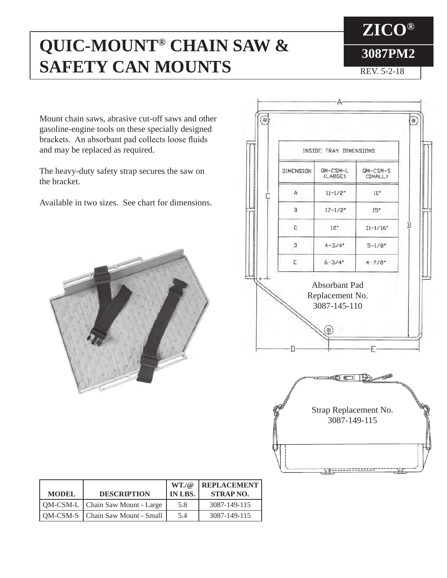## **QUIC-MOUNT® CHAIN SAW & SAFETY CAN MOUNTS**

REV. 5-2-18

Mount chain saws, abrasive cut-off saws and other gasoline-engine tools on these specially designed brackets. An absorbant pad collects loose fluids and may be replaced as required.

The heavy-duty safety strap secures the saw on the bracket.

Available in two sizes. See chart for dimensions.



|  | INSIDE TRAY DIMENSIONS                                    |                   |                                                     |   |
|--|-----------------------------------------------------------|-------------------|-----------------------------------------------------|---|
|  | QM-CSM-L<br>$QM-CSM-S$<br>DIMENSION<br>(LARGE)<br>(SMALL) |                   |                                                     |   |
|  | A                                                         | $11 - 1/2'$       | 10''                                                |   |
|  | $\, {\bf B}$                                              | $17 - 1/2'$       | 15''                                                |   |
|  | C                                                         | 12 <sup>r</sup>   | $11 - 1/16'$                                        | B |
|  | $\mathbb{D}$                                              | $4 - 3/4'$        | $5 - 1/8'$                                          |   |
|  | E                                                         | $6 - 3/4'$        | $4 - 7/8'$                                          |   |
|  |                                                           | 3087-145-110<br>æ |                                                     |   |
|  |                                                           | €<br>E            | $\overline{\phantom{a}}$<br>$\mathbb{D}_\mathbb{Z}$ |   |
|  | (P                                                        |                   | Strap Replacement No.                               |   |

| <b>MODEL</b> | <b>DESCRIPTION</b>                 | WT/a<br>IN LBS. | <b>REPLACEMENT</b><br><b>STRAP NO.</b> |
|--------------|------------------------------------|-----------------|----------------------------------------|
|              | QM-CSM-L   Chain Saw Mount - Large | 5.8             | 3087-149-115                           |
|              | QM-CSM-S   Chain Saw Mount - Small | 5.4             | 3087-149-115                           |